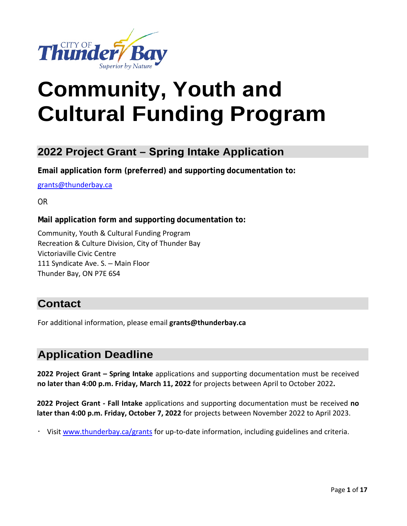

# **Cultural Funding Program Community, Youth and**

## **2022 Project Grant – Spring Intake Application**

**Email application form (preferred) and supporting documentation to:** 

[grants@thunderbay.ca](mailto:grants@thunderbay.ca) 

OR

#### **Mail application form and supporting documentation to:**

 111 Syndicate Ave. S. – Main Floor Community, Youth & Cultural Funding Program Recreation & Culture Division, City of Thunder Bay Victoriaville Civic Centre Thunder Bay, ON P7E 6S4

## **Contact**

For additional information, please email **[grants@thunderbay.ca](mailto:grants@thunderbay.ca)** 

## **Application Deadline**

**2022 Project Grant – Spring Intake** applications and supporting documentation must be received **no later than 4:00 p.m. Friday, March 11, 2022** for projects between April to October 2022**.**

 **2022 Project Grant - Fall Intake** applications and supporting documentation must be received **no later than 4:00 p.m. Friday, October 7, 2022** for projects between November 2022 to April 2023.

 $\cdot$  Visit [www.thunderbay.ca/grants](http://www.thunderbay.ca/grants) for up-to-date information, including guidelines and criteria.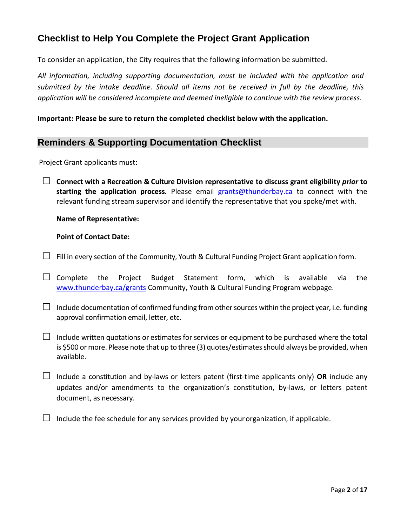## **Checklist to Help You Complete the Project Grant Application**

To consider an application, the City requires that the following information be submitted.

 *All information, including supporting documentation, must be included with the application and submitted by the intake deadline. Should all items not be received in full by the deadline, this application will be considered incomplete and deemed ineligible to continue with the review process.* 

**Important: Please be sure to return the completed checklist below with the application.** 

### **Reminders & Supporting Documentation Checklist**

Project Grant applicants must:

 **Connect with a Recreation & Culture Division representative to discuss grant eligibility** *prior* **to starting the application process.** Please email [grants@thunderbay.ca](mailto:grants@thunderbay.ca) to connect with the relevant funding stream supervisor and identify the representative that you spoke/met with.

 **Name of Representative: Point of Contact Date:** 

 $\Box$  Fill in every section of the Community, Youth & Cultural Funding Project Grant application form.

 $\Box$  Complete the Project Budget Statement form, which is available via the [www.thunderbay.ca/grants](http://www.thunderbay.ca/grants) Community, Youth & Cultural Funding Program webpage.

 $\Box$  Include documentation of confirmed funding from other sources within the project year, i.e. funding approval confirmation email, letter, etc.

 $\Box$  Include written quotations or estimates for services or equipment to be purchased where the total is \$500 or more. Please note that up to three (3) quotes/estimates should always be provided, when available.

 $\Box$  Include a constitution and by-laws or letters patent (first-time applicants only) OR include any updates and/or amendments to the organization's constitution, by-laws, or letters patent document, as necessary.

 $\Box$  Include the fee schedule for any services provided by your organization, if applicable.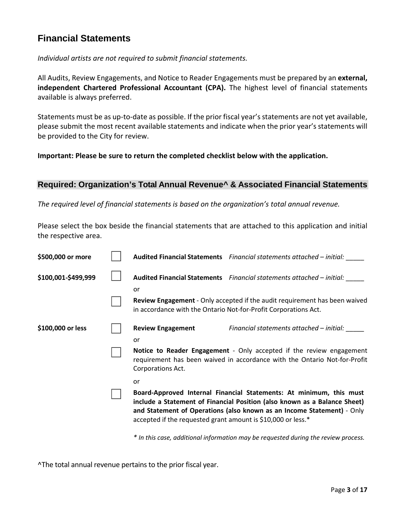## **Financial Statements**

*Individual artists are not required to submit financial statements.* 

 All Audits, Review Engagements, and Notice to Reader Engagements must be prepared by an **external, independent Chartered Professional Accountant (CPA).** The highest level of financial statements available is always preferred.

 Statements must be as up-to-date as possible. If the prior fiscal year's statements are not yet available, please submit the most recent available statements and indicate when the prior year's statements will be provided to the City for review.

**Important: Please be sure to return the completed checklist below with the application.** 

## **Required: Organization's Total Annual Revenue^ & Associated Financial Statements**

*The required level of financial statements is based on the organization's total annual revenue.* 

 Please select the box beside the financial statements that are attached to this application and initial the respective area.

| \$500,000 or more   |                                                                 | Audited Financial Statements Financial statements attached - initial:                                                                                                                                                      |
|---------------------|-----------------------------------------------------------------|----------------------------------------------------------------------------------------------------------------------------------------------------------------------------------------------------------------------------|
| \$100,001-\$499,999 | or                                                              | Audited Financial Statements Financial statements attached - initial:                                                                                                                                                      |
|                     | in accordance with the Ontario Not-for-Profit Corporations Act. | <b>Review Engagement</b> - Only accepted if the audit requirement has been waived                                                                                                                                          |
| \$100,000 or less   | <b>Review Engagement</b><br>or                                  | Financial statements attached – initial:                                                                                                                                                                                   |
|                     | Corporations Act.                                               | Notice to Reader Engagement - Only accepted if the review engagement<br>requirement has been waived in accordance with the Ontario Not-for-Profit                                                                          |
|                     | or                                                              |                                                                                                                                                                                                                            |
|                     | accepted if the requested grant amount is \$10,000 or less.*    | Board-Approved Internal Financial Statements: At minimum, this must<br>include a Statement of Financial Position (also known as a Balance Sheet)<br>and Statement of Operations (also known as an Income Statement) - Only |

*\* In this case, additional information may be requested during the review process.*

^The total annual revenue pertains to the prior fiscal year.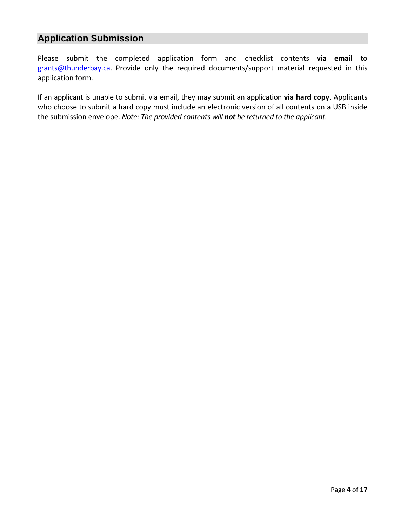## **Application Submission**

 Please submit the completed application form and checklist contents **via email** to [grants@thunderbay.ca.](mailto:grants@thunderbay.ca) Provide only the required documents/support material requested in this application form.

 If an applicant is unable to submit via email, they may submit an application **via hard copy**. Applicants who choose to submit a hard copy must include an electronic version of all contents on a USB inside  the submission envelope. *Note: The provided contents will not be returned to the applicant.*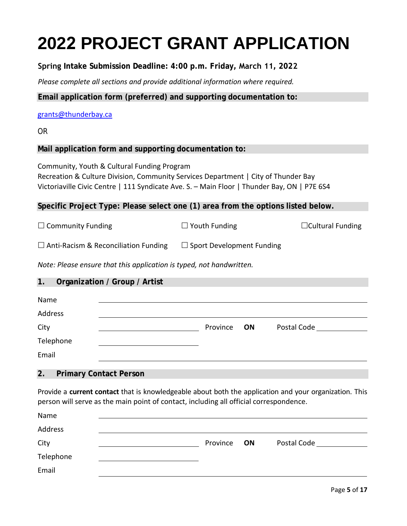## **2022 PROJECT GRANT APPLICATION**

**Spring Intake Submission Deadline: 4:00 p.m. Friday, March 11, 2022**

 *Please complete all sections and provide additional information where required.* 

**Email application form (preferred) and supporting documentation to:** 

#### [grants@thunderbay.ca](mailto:grants@thunderbay.ca)

OR

### **Mail application form and supporting documentation to:**

 Victoriaville Civic Centre | 111 Syndicate Ave. S. – Main Floor | Thunder Bay, ON | P7E 6S4 Community, Youth & Cultural Funding Program Recreation & Culture Division, Community Services Department | City of Thunder Bay

**Specific Project Type: Please select one (1) area from the options listed below.** 

 $\square$  Community Funding  $\square$  Youth Funding  $\square$  Cultural Funding

 $\Box$  Anti-Racism & Reconciliation Funding  $\Box$  Sport Development Funding

*Note: Please ensure that this application is typed, not handwritten.* 

#### **1. Organization / Group / Artist**

| Name      |             |             |
|-----------|-------------|-------------|
| Address   |             |             |
| City      | Province ON | Postal Code |
| Telephone |             |             |
| Email     |             |             |
|           |             |             |

#### **2. Primary Contact Person**

 Provide a **current contact** that is knowledgeable about both the application and your organization. This person will serve as the main point of contact, including all official correspondence.

| Name      |          |    |             |
|-----------|----------|----|-------------|
| Address   |          |    |             |
| City      | Province | ON | Postal Code |
| Telephone |          |    |             |
| Email     |          |    |             |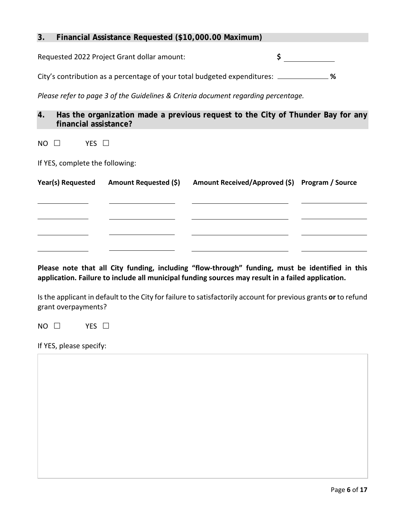#### **3. Financial Assistance Requested (\$10,000.00 Maximum)**

Requested 2022 Project Grant dollar amount: **\$** 

**%**  City's contribution as a percentage of your total budgeted expenditures:

*Please refer to page 3 of the Guidelines & Criteria document regarding percentage.* 

**4. Has the organization made a previous request to the City of Thunder Bay for any financial assistance?**

 $NO$   $\Box$ YES  $\Box$ 

If YES, complete the following:

| Year(s) Requested | Amount Requested (\$) | Amount Received/Approved (\$) Program / Source |  |
|-------------------|-----------------------|------------------------------------------------|--|
|                   |                       |                                                |  |
|                   |                       |                                                |  |
|                   |                       |                                                |  |
|                   |                       |                                                |  |
|                   |                       |                                                |  |

 **application. Failure to include all municipal funding sources may result in a failed application. Please note that all City funding, including "flow-through" funding, must be identified in this** 

 Is the applicant in default to the City for failure to satisfactorily account for previous grants **or** to refund grant overpayments?

 $NO$   $\Box$ YES  $\Box$ 

If YES, please specify: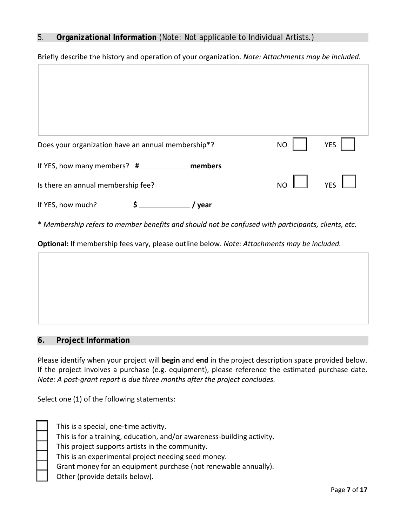#### 5. **Organizational Information** (Note: Not applicable to Individual Artists.)

| Briefly describe the history and operation of your organization. Note: Attachments may be included. |           |                 |  |  |
|-----------------------------------------------------------------------------------------------------|-----------|-----------------|--|--|
|                                                                                                     |           |                 |  |  |
|                                                                                                     |           |                 |  |  |
|                                                                                                     |           |                 |  |  |
|                                                                                                     |           |                 |  |  |
|                                                                                                     |           |                 |  |  |
| Does your organization have an annual membership*?                                                  | <b>NO</b> | YES             |  |  |
| If YES, how many members? #__________<br>members                                                    |           |                 |  |  |
| Is there an annual membership fee?                                                                  | NO        | $YES$ $\perp$ 1 |  |  |
|                                                                                                     |           |                 |  |  |

If YES, how much?  $$$  / year

 \* *Membership refers to member benefits and should not be confused with participants, clients, etc.*

**Optional:** If membership fees vary, please outline below. *Note: Attachments may be included.* 



#### **6. Project Information**

 If the project involves a purchase (e.g. equipment), please reference the estimated purchase date. Please identify when your project will **begin** and **end** in the project description space provided below. *Note: A post-grant report is due three months after the project concludes.* 

Select one (1) of the following statements:

| This is a special, one-time activity.                                  |
|------------------------------------------------------------------------|
| This is for a training, education, and/or awareness-building activity. |
| This project supports artists in the community.                        |
| This is an experimental project needing seed money.                    |
| Grant money for an equipment purchase (not renewable annually).        |
| Other (provide details below).                                         |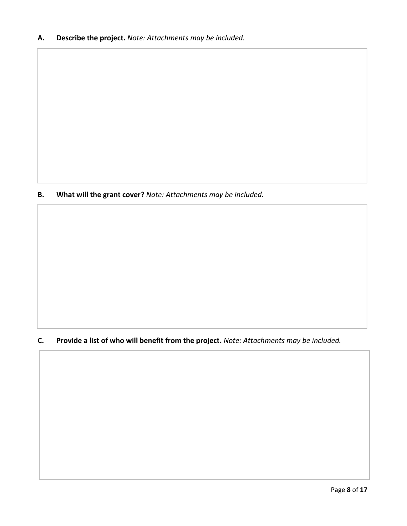**B. What will the grant cover?** *Note: Attachments may be included.*

### **C. Provide a list of who will benefit from the project.** *Note: Attachments may be included.*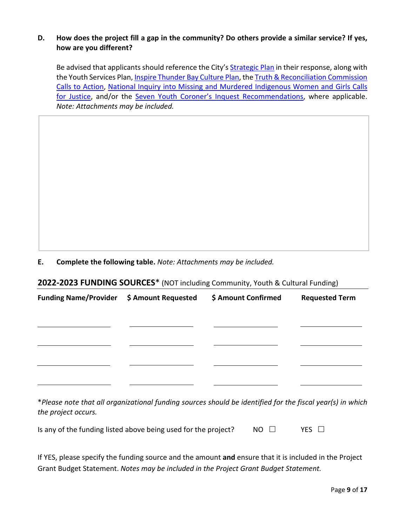#### **D. How does the project fill a gap in the community? Do others provide a similar service? If yes, how are you different?**

Be advised that applicants should reference the City's **Strategic Plan** in their response, along with [Calls to Action,](http://nctr.ca/assets/reports/Calls_to_Action_English2.pdf) [National Inquiry into Missing and Murdered Indigenous Women and Girls Calls](https://www.mmiwg-ffada.ca/final-report/) the Youth Services Plan[, Inspire Thunder Bay Culture Plan,](https://www.thunderbay.ca/en/city-hall/culture-plan.aspx) th[e Truth & Reconciliation Commission](http://nctr.ca/assets/reports/Calls_to_Action_English2.pdf) [for Justice,](https://www.mmiwg-ffada.ca/final-report/) and/or the [Seven Youth Coroner's Inquest Recommendations,](https://www.mcscs.jus.gov.on.ca/english/Deathinvestigations/Inquests/Verdictsandrecommendations/OCCVerdictsSevenFirstNationsYouths.html) where applicable. *Note: Attachments may be included.*

**E. Complete the following table.** *Note: Attachments may be included.*

#### **2022-2023 FUNDING SOURCES**\* (NOT including Community, Youth & Cultural Funding)

| Funding Name/Provider \$ Amount Requested | \$ Amount Confirmed | <b>Requested Term</b> |
|-------------------------------------------|---------------------|-----------------------|
|                                           |                     |                       |
|                                           |                     |                       |
|                                           |                     |                       |
|                                           |                     |                       |
|                                           |                     |                       |

 *the project occurs.* \**Please note that all organizational funding sources should be identified for the fiscal year(s) in which*

| Is any of the funding listed above being used for the project? | $NO \square$ | YES $\Box$ |
|----------------------------------------------------------------|--------------|------------|
|----------------------------------------------------------------|--------------|------------|

 If YES, please specify the funding source and the amount **and** ensure that it is included in the Project Grant Budget Statement. *Notes may be included in the Project Grant Budget Statement.*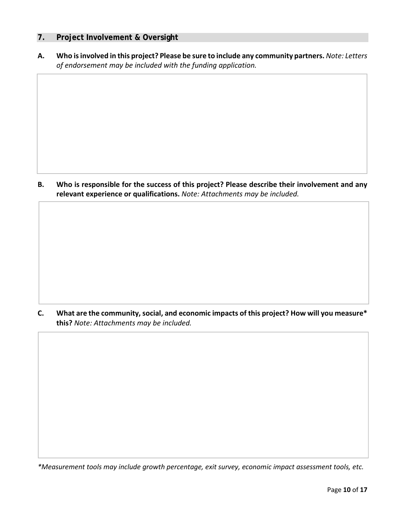#### **7. Project Involvement & Oversight**

 **A. Who is involved in this project? Please be sure to include any community partners.** *Note: Letters of endorsement may be included with the funding application.*

**B. Who is responsible for the success of this project? Please describe their involvement and any relevant experience or qualifications.** *Note: Attachments may be included.*

**C. What are the community, social, and economic impacts of this project? How will you measure\* this?** *Note: Attachments may be included.*

 *\*Measurement tools may include growth percentage, exit survey, economic impact assessment tools, etc.*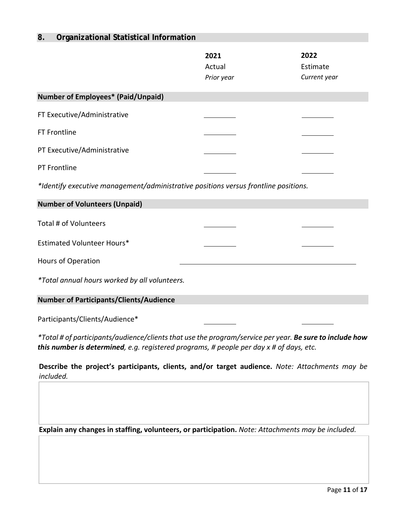### **8. Organizational Statistical Information**

|                                                                                                                | 2021<br>Actual<br>Prior year | 2022<br>Estimate<br>Current year |
|----------------------------------------------------------------------------------------------------------------|------------------------------|----------------------------------|
| <b>Number of Employees* (Paid/Unpaid)</b>                                                                      |                              |                                  |
| FT Executive/Administrative                                                                                    |                              |                                  |
| FT Frontline                                                                                                   |                              |                                  |
| PT Executive/Administrative                                                                                    |                              |                                  |
| PT Frontline                                                                                                   |                              |                                  |
| *Identify executive management/administrative positions versus frontline positions.                            |                              |                                  |
| <b>Number of Volunteers (Unpaid)</b>                                                                           |                              |                                  |
| Total # of Volunteers                                                                                          |                              |                                  |
| <b>Estimated Volunteer Hours*</b>                                                                              |                              |                                  |
| Hours of Operation                                                                                             |                              |                                  |
| *Total annual hours worked by all volunteers.                                                                  |                              |                                  |
| <b>Number of Participants/Clients/Audience</b>                                                                 |                              |                                  |
| Participants/Clients/Audience*                                                                                 |                              |                                  |
| *Total # of participants/audience/clients that use the program/service per year. <b>Re sure to include how</b> |                              |                                  |

 *this number is determined, e.g. registered programs, # people per day x # of days, etc. \*Total # of participants/audience/clients that use the program/service per year. Be sure to include how*

**Describe the project's participants, clients, and/or target audience.** *Note: Attachments may be included.* 

 **Explain any changes in staffing, volunteers, or participation.** *Note: Attachments may be included.*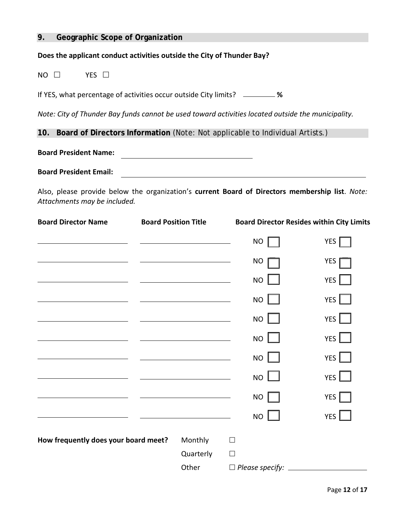#### **9. Geographic Scope of Organization**

#### **Does the applicant conduct activities outside the City of Thunder Bay?**

 $NO$   $\Box$ YES  $\Box$ 

If YES, what percentage of activities occur outside City limits? **%** 

*Note: City of Thunder Bay funds cannot be used toward activities located outside the municipality.* 

**10. Board of Directors Information** (Note: Not applicable to Individual Artists.)

**Board President Name:**  <u> 1989 - Johann Barn, fransk politik (d. 1989)</u>

 **Board President Email:** 

Also, please provide below the organization's **current Board of Directors membership list**. *Note: Attachments may be included.* 

| <b>Board Director Name</b>                          | <b>Board Position Title</b>                                                                                           |        |                 | <b>Board Director Resides within City Limits</b>                                              |
|-----------------------------------------------------|-----------------------------------------------------------------------------------------------------------------------|--------|-----------------|-----------------------------------------------------------------------------------------------|
| <u> 1980 - Andrea Station Barbara, amerikan per</u> | <u> 1989 - Johann Harry Harry Harry Harry Harry Harry Harry Harry Harry Harry Harry Harry Harry Harry Harry Harry</u> |        | NO              | YES                                                                                           |
|                                                     | <u> Alexandria de la contrada de la contrada de la contrada de la contrada de la contrada de la contrada de la c</u>  |        | NO              | YES                                                                                           |
|                                                     | <u> 1989 - Andrea State Barbara, amerikan personal di sebagai personal di sebagai personal di sebagai personal di</u> |        | <b>NO</b>       | YES $\Box$                                                                                    |
|                                                     | <u> Alexandria de la contrada de la contrada de la contrada de la contrada de la contrada de la contrada de la c</u>  |        | <b>NO</b>       | YES $\Box$                                                                                    |
| <u> 1980 - Johann Barnett, fransk konge</u>         |                                                                                                                       |        | NO <sub>l</sub> | YES $\Box$                                                                                    |
|                                                     |                                                                                                                       |        | NO              | YES $\Box$                                                                                    |
|                                                     | <u> 1989 - Johann Barbara, martin a</u>                                                                               |        | NO <sub>l</sub> | YES $\Box$                                                                                    |
|                                                     | <u> 1989 - Johann Barn, mars eta bainar eta idazlea (</u>                                                             |        | NO <sub>l</sub> | YES $\Box$                                                                                    |
|                                                     |                                                                                                                       |        | NO              | YES $\Box$                                                                                    |
|                                                     |                                                                                                                       |        | <b>NO</b>       | YES <sup>1</sup>                                                                              |
| How frequently does your board meet?                | Monthly                                                                                                               | $\Box$ |                 |                                                                                               |
|                                                     | Quarterly                                                                                                             | $\Box$ |                 |                                                                                               |
|                                                     | Other                                                                                                                 |        |                 | $\Box$ Please specify: $\_\_\_\_\_\_\_\_\_\_\_\_\_\_\_\_\_\_\_\_\_\_\_\_\_\_\_\_\_\_\_\_\_\_$ |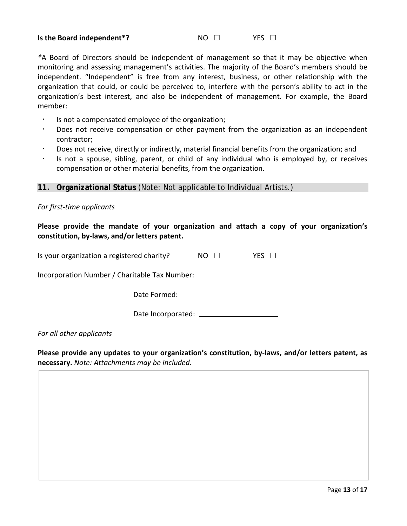#### **Is the Board independent<sup>\*</sup>? NO □ YES □**

#### $NO \square$

 *\**A Board of Directors should be independent of management so that it may be objective when monitoring and assessing management's activities. The majority of the Board's members should be independent. "Independent" is free from any interest, business, or other relationship with the organization that could, or could be perceived to, interfere with the person's ability to act in the organization's best interest, and also be independent of management. For example, the Board member:

- Is not a compensated employee of the organization;
- Does not receive compensation or other payment from the organization as an independent contractor;
- Does not receive, directly or indirectly, material financial benefits from the organization; and
- Is not a spouse, sibling, parent, or child of any individual who is employed by, or receives compensation or other material benefits, from the organization.

#### **11. Organizational Status** (Note: Not applicable to Individual Artists.)

#### *For first-time applicants*

**Please provide the mandate of your organization and attach a copy of your organization's constitution, by-laws, and/or letters patent.** 

| Is your organization a registered charity?    | NO. | YFS |
|-----------------------------------------------|-----|-----|
| Incorporation Number / Charitable Tax Number: |     |     |
| Date Formed:                                  |     |     |
| Date Incorporated:                            |     |     |

 *For all other applicants* 

**Please provide any updates to your organization's constitution, by-laws, and/or letters patent, as necessary.** *Note: Attachments may be included.*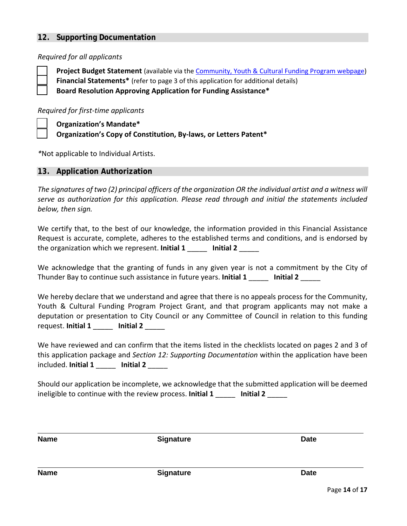#### **12. Supporting Documentation**

#### *Required for all applicants*

 **Board Resolution Approving Application for Funding Assistance\* Project Budget Statement** (available via th[e Community, Youth & Cultural Funding Program webpage\)](https://www.thunderbay.ca/en/city-hall/community-youth-and-cultural-funding.aspx) **Financial Statements\*** (refer to page 3 of this application for additional details)

#### *Required for first-time applicants*

 **Organization's Mandate\* Organization's Copy of Constitution, By-laws, or Letters Patent\*** 

*\**Not applicable to Individual Artists.

#### **13. Application Authorization**

 *The signatures of two (2) principal officers of the organization OR the individual artist and a witness will serve as authorization for this application. Please read through and initial the statements included below, then sign.* 

 We certify that, to the best of our knowledge, the information provided in this Financial Assistance Request is accurate, complete, adheres to the established terms and conditions, and is endorsed by  the organization which we represent. **Initial 1** \_\_\_\_\_ **Initial 2** \_\_\_\_\_

 We acknowledge that the granting of funds in any given year is not a commitment by the City of  Thunder Bay to continue such assistance in future years. **Initial 1** \_\_\_\_\_ **Initial 2** \_\_\_\_\_

 We hereby declare that we understand and agree that there is no appeals process for the Community, Youth & Cultural Funding Program Project Grant, and that program applicants may not make a  request. **Initial 1** \_\_\_\_\_ **Initial 2** \_\_\_\_\_ deputation or presentation to City Council or any Committee of Council in relation to this funding

 We have reviewed and can confirm that the items listed in the checklists located on pages 2 and 3 of this application package and *Section 12: Supporting Documentation* within the application have been  included. **Initial 1** \_\_\_\_\_ **Initial 2** \_\_\_\_\_

 Should our application be incomplete, we acknowledge that the submitted application will be deemed  ineligible to continue with the review process. **Initial 1** \_\_\_\_\_ **Initial 2** \_\_\_\_\_

| <b>Name</b> | <b>Signature</b> | <b>Date</b> |
|-------------|------------------|-------------|
|             |                  |             |
|             |                  |             |

Page **14** of **17** 

Name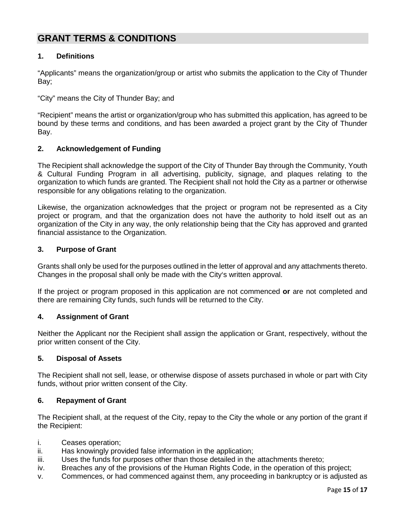## **GRANT TERMS & CONDITIONS**

#### **1. Definitions**

 "Applicants" means the organization/group or artist who submits the application to the City of Thunder Bay;

Bay;<br>"City" means the City of Thunder Bay; and

 "Recipient" means the artist or organization/group who has submitted this application, has agreed to be bound by these terms and conditions, and has been awarded a project grant by the City of Thunder Bay.

#### **2. Acknowledgement of Funding**

 & Cultural Funding Program in all advertising, publicity, signage, and plaques relating to the The Recipient shall acknowledge the support of the City of Thunder Bay through the Community, Youth organization to which funds are granted. The Recipient shall not hold the City as a partner or otherwise responsible for any obligations relating to the organization.

 Likewise, the organization acknowledges that the project or program not be represented as a City project or program, and that the organization does not have the authority to hold itself out as an organization of the City in any way, the only relationship being that the City has approved and granted financial assistance to the Organization.

#### **3. Purpose of Grant**

 Grants shall only be used for the purposes outlined in the letter of approval and any attachments thereto. Changes in the proposal shall only be made with the City's written approval.

If the project or program proposed in this application are not commenced **or** are not completed and there are remaining City funds, such funds will be returned to the City.

#### **4. Assignment of Grant**

 Neither the Applicant nor the Recipient shall assign the application or Grant, respectively, without the prior written consent of the City.

#### **5. Disposal of Assets**

The Recipient shall not sell, lease, or otherwise dispose of assets purchased in whole or part with City funds, without prior written consent of the City.

#### **6. Repayment of Grant**

 The Recipient shall, at the request of the City, repay to the City the whole or any portion of the grant if the Recipient:

- i. Ceases operation;
- ii. Has knowingly provided false information in the application;
- iii. Uses the funds for purposes other than those detailed in the attachments thereto;
- iv. Breaches any of the provisions of the Human Rights Code, in the operation of this project;
- v. Commences, or had commenced against them, any proceeding in bankruptcy or is adjusted as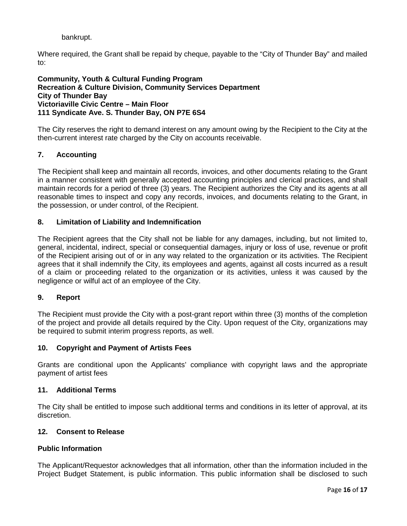bankrupt.

Where required, the Grant shall be repaid by cheque, payable to the "City of Thunder Bay" and mailed to:

#### **Victoriaville Civic Centre – Main Floor Community, Youth & Cultural Funding Program Recreation & Culture Division, Community Services Department City of Thunder Bay 111 Syndicate Ave. S. Thunder Bay, ON P7E 6S4**

The City reserves the right to demand interest on any amount owing by the Recipient to the City at the then-current interest rate charged by the City on accounts receivable.

#### **7. Accounting**

 in a manner consistent with generally accepted accounting principles and clerical practices, and shall maintain records for a period of three (3) years. The Recipient authorizes the City and its agents at all reasonable times to inspect and copy any records, invoices, and documents relating to the Grant, in The Recipient shall keep and maintain all records, invoices, and other documents relating to the Grant the possession, or under control, of the Recipient.

#### **8. Limitation of Liability and Indemnification**

 The Recipient agrees that the City shall not be liable for any damages, including, but not limited to, agrees that it shall indemnify the City, its employees and agents, against all costs incurred as a result general, incidental, indirect, special or consequential damages, injury or loss of use, revenue or profit of the Recipient arising out of or in any way related to the organization or its activities. The Recipient of a claim or proceeding related to the organization or its activities, unless it was caused by the negligence or wilful act of an employee of the City.

#### **9 9. Report**

 The Recipient must provide the City with a post-grant report within three (3) months of the completion of the project and provide all details required by the City. Upon request of the City, organizations may be required to submit interim progress reports, as well.

#### **10. Copyright and Payment of Artists Fees**

 Grants are conditional upon the Applicants' compliance with copyright laws and the appropriate payment of artist fees

#### **11. Additional Terms**

 The City shall be entitled to impose such additional terms and conditions in its letter of approval, at its discretion.

#### **12. Consent to Release**

#### **Public Information**

The Applicant/Requestor acknowledges that all information, other than the information included in the Project Budget Statement, is public information. This public information shall be disclosed to such